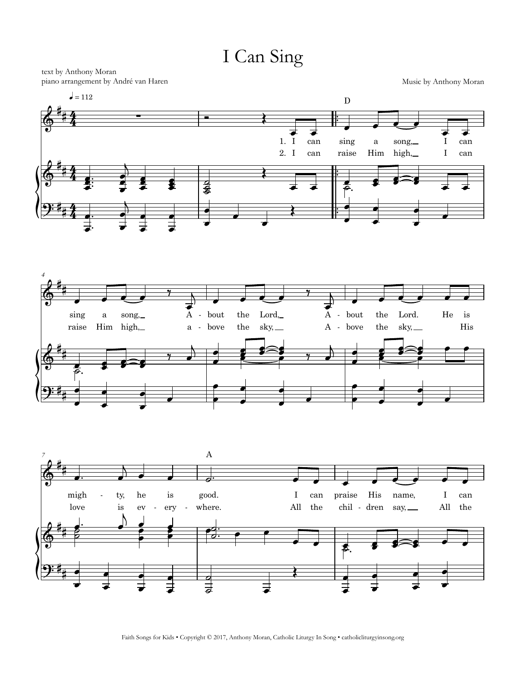I Can Sing

text by Anthony Moran piano arrangement by André van Haren Music by Anthony Moran







Faith Songs for Kids • Copyright © 2017, Anthony Moran, Catholic Liturgy In Song • catholicliturgyinsong.org